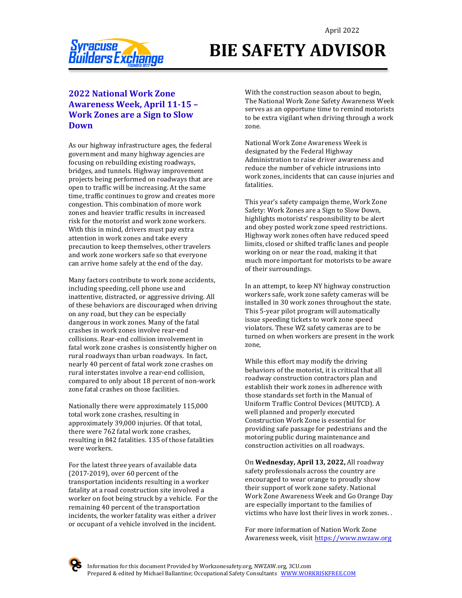

# **BIE SAFETY ADVISOR**

## **2022 National Work Zone Awareness Week, April 11-15 -Work Zones are a Sign to Slow Down**

As our highway infrastructure ages, the federal government and many highway agencies are focusing on rebuilding existing roadways, bridges, and tunnels. Highway improvement projects being performed on roadways that are open to traffic will be increasing. At the same time, traffic continues to grow and creates more congestion. This combination of more work zones and heavier traffic results in increased risk for the motorist and work zone workers. With this in mind, drivers must pay extra attention in work zones and take every precaution to keep themselves, other travelers and work zone workers safe so that everyone can arrive home safely at the end of the day.

Many factors contribute to work zone accidents, including speeding, cell phone use and inattentive, distracted, or aggressive driving. All of these behaviors are discouraged when driving on any road, but they can be especially dangerous in work zones. Many of the fatal crashes in work zones involve rear-end collisions. Rear-end collision involvement in fatal work zone crashes is consistently higher on rural roadways than urban roadways. In fact, nearly 40 percent of fatal work zone crashes on rural interstates involve a rear-end collision, compared to only about 18 percent of non-work zone fatal crashes on those facilities.

Nationally there were approximately 115,000 total work zone crashes, resulting in approximately 39,000 injuries. Of that total, there were 762 fatal work zone crashes, resulting in 842 fatalities. 135 of those fatalities were workers.

For the latest three years of available data  $(2017-2019)$ , over 60 percent of the transportation incidents resulting in a worker fatality at a road construction site involved a worker on foot being struck by a vehicle. For the remaining 40 percent of the transportation incidents, the worker fatality was either a driver or occupant of a vehicle involved in the incident.

With the construction season about to begin, The National Work Zone Safety Awareness Week serves as an opportune time to remind motorists to be extra vigilant when driving through a work zone. 

National Work Zone Awareness Week is designated by the Federal Highway Administration to raise driver awareness and reduce the number of vehicle intrusions into work zones, incidents that can cause injuries and fatalities.

This year's safety campaign theme, Work Zone Safety: Work Zones are a Sign to Slow Down, highlights motorists' responsibility to be alert and obey posted work zone speed restrictions. Highway work zones often have reduced speed limits, closed or shifted traffic lanes and people working on or near the road, making it that much more important for motorists to be aware of their surroundings.

In an attempt, to keep NY highway construction workers safe, work zone safety cameras will be installed in 30 work zones throughout the state. This 5-year pilot program will automatically issue speeding tickets to work zone speed violators. These WZ safety cameras are to be turned on when workers are present in the work zone,

While this effort may modify the driving behaviors of the motorist, it is critical that all roadway construction contractors plan and establish their work zones in adherence with those standards set forth in the Manual of Uniform Traffic Control Devices (MUTCD). A well planned and properly executed Construction Work Zone is essential for providing safe passage for pedestrians and the motoring public during maintenance and construction activities on all roadways.

On Wednesday, April 13, 2022, All roadway safety professionals across the country are encouraged to wear orange to proudly show their support of work zone safety. National Work Zone Awareness Week and Go Orange Day are especially important to the families of victims who have lost their lives in work zones.

For more information of Nation Work Zone Awareness week, visit https://www.nwzaw.org